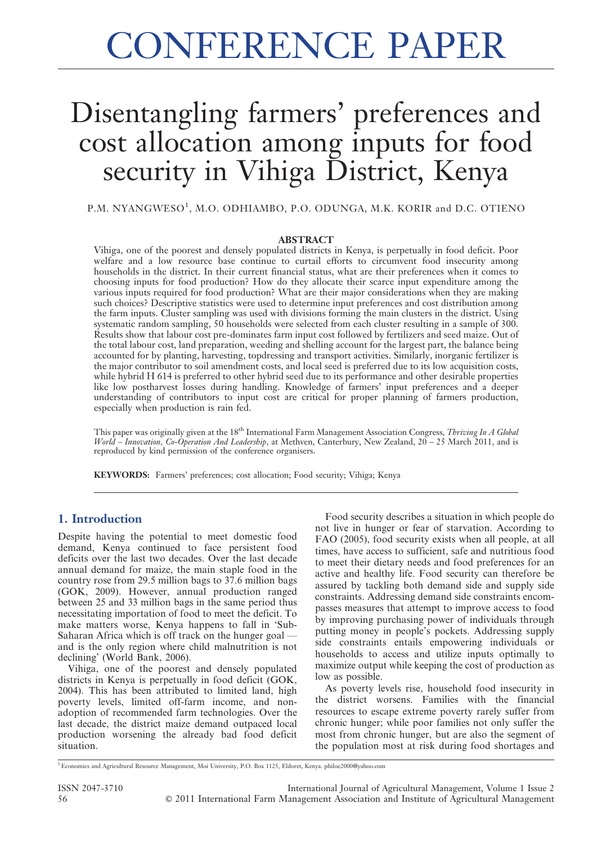# Disentangling farmers' preferences and cost allocation among inputs for food security in Vihiga District, Kenya

P.M. NYANGWESO<sup>1</sup>, M.O. ODHIAMBO, P.O. ODUNGA, M.K. KORIR and D.C. OTIENO

#### ABSTRACT

Vihiga, one of the poorest and densely populated districts in Kenya, is perpetually in food deficit. Poor welfare and a low resource base continue to curtail efforts to circumvent food insecurity among households in the district. In their current financial status, what are their preferences when it comes to choosing inputs for food production? How do they allocate their scarce input expenditure among the various inputs required for food production? What are their major considerations when they are making such choices? Descriptive statistics were used to determine input preferences and cost distribution among the farm inputs. Cluster sampling was used with divisions forming the main clusters in the district. Using systematic random sampling, 50 households were selected from each cluster resulting in a sample of 300. Results show that labour cost pre-dominates farm input cost followed by fertilizers and seed maize. Out of the total labour cost, land preparation, weeding and shelling account for the largest part, the balance being accounted for by planting, harvesting, topdressing and transport activities. Similarly, inorganic fertilizer is the major contributor to soil amendment costs, and local seed is preferred due to its low acquisition costs, while hybrid H 614 is preferred to other hybrid seed due to its performance and other desirable properties like low postharvest losses during handling. Knowledge of farmers' input preferences and a deeper understanding of contributors to input cost are critical for proper planning of farmers production, especially when production is rain fed.

This paper was originally given at the 18<sup>th</sup> International Farm Management Association Congress, Thriving In A Global World – Innovation, Co-Operation And Leadership, at Methven, Canterbury, New Zealand,  $20 - 25$  March 2011, and is reproduced by kind permission of the conference organisers.

KEYWORDS: Farmers' preferences; cost allocation; Food security; Vihiga; Kenya

## 1. Introduction

Despite having the potential to meet domestic food demand, Kenya continued to face persistent food deficits over the last two decades. Over the last decade annual demand for maize, the main staple food in the country rose from 29.5 million bags to 37.6 million bags (GOK, 2009). However, annual production ranged between 25 and 33 million bags in the same period thus necessitating importation of food to meet the deficit. To make matters worse, Kenya happens to fall in 'Sub-Saharan Africa which is off track on the hunger goal and is the only region where child malnutrition is not declining' (World Bank, 2006).

Vihiga, one of the poorest and densely populated districts in Kenya is perpetually in food deficit (GOK, 2004). This has been attributed to limited land, high poverty levels, limited off-farm income, and nonadoption of recommended farm technologies. Over the last decade, the district maize demand outpaced local production worsening the already bad food deficit situation.

Food security describes a situation in which people do not live in hunger or fear of starvation. According to FAO (2005), food security exists when all people, at all times, have access to sufficient, safe and nutritious food to meet their dietary needs and food preferences for an active and healthy life. Food security can therefore be assured by tackling both demand side and supply side constraints. Addressing demand side constraints encompasses measures that attempt to improve access to food by improving purchasing power of individuals through putting money in people's pockets. Addressing supply side constraints entails empowering individuals or households to access and utilize inputs optimally to maximize output while keeping the cost of production as low as possible.

As poverty levels rise, household food insecurity in the district worsens. Families with the financial resources to escape extreme poverty rarely suffer from chronic hunger; while poor families not only suffer the most from chronic hunger, but are also the segment of the population most at risk during food shortages and

<sup>1</sup>Economics and Agricultural Resource Management, Moi University, P.O. Box 1125, Eldoret, Kenya. philoe2000@yahoo.com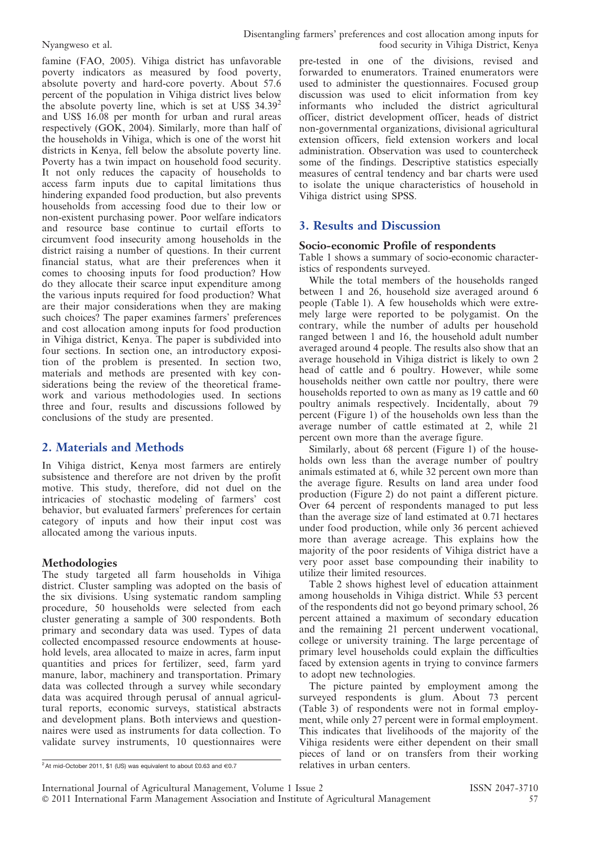famine (FAO, 2005). Vihiga district has unfavorable poverty indicators as measured by food poverty, absolute poverty and hard-core poverty. About 57.6 percent of the population in Vihiga district lives below the absolute poverty line, which is set at US\$ 34.39<sup>2</sup> and US\$ 16.08 per month for urban and rural areas respectively (GOK, 2004). Similarly, more than half of the households in Vihiga, which is one of the worst hit districts in Kenya, fell below the absolute poverty line. Poverty has a twin impact on household food security. It not only reduces the capacity of households to access farm inputs due to capital limitations thus hindering expanded food production, but also prevents households from accessing food due to their low or non-existent purchasing power. Poor welfare indicators and resource base continue to curtail efforts to circumvent food insecurity among households in the district raising a number of questions. In their current financial status, what are their preferences when it comes to choosing inputs for food production? How do they allocate their scarce input expenditure among the various inputs required for food production? What are their major considerations when they are making such choices? The paper examines farmers' preferences and cost allocation among inputs for food production in Vihiga district, Kenya. The paper is subdivided into four sections. In section one, an introductory exposition of the problem is presented. In section two, materials and methods are presented with key considerations being the review of the theoretical framework and various methodologies used. In sections three and four, results and discussions followed by conclusions of the study are presented.

# 2. Materials and Methods

In Vihiga district, Kenya most farmers are entirely subsistence and therefore are not driven by the profit motive. This study, therefore, did not duel on the intricacies of stochastic modeling of farmers' cost behavior, but evaluated farmers' preferences for certain category of inputs and how their input cost was allocated among the various inputs.

#### Methodologies

The study targeted all farm households in Vihiga district. Cluster sampling was adopted on the basis of the six divisions. Using systematic random sampling procedure, 50 households were selected from each cluster generating a sample of 300 respondents. Both primary and secondary data was used. Types of data collected encompassed resource endowments at household levels, area allocated to maize in acres, farm input quantities and prices for fertilizer, seed, farm yard manure, labor, machinery and transportation. Primary data was collected through a survey while secondary data was acquired through perusal of annual agricultural reports, economic surveys, statistical abstracts and development plans. Both interviews and questionnaires were used as instruments for data collection. To validate survey instruments, 10 questionnaires were

pre-tested in one of the divisions, revised and forwarded to enumerators. Trained enumerators were used to administer the questionnaires. Focused group discussion was used to elicit information from key informants who included the district agricultural officer, district development officer, heads of district non-governmental organizations, divisional agricultural extension officers, field extension workers and local administration. Observation was used to countercheck some of the findings. Descriptive statistics especially measures of central tendency and bar charts were used to isolate the unique characteristics of household in Vihiga district using SPSS.

# 3. Results and Discussion

#### Socio-economic Profile of respondents

Table 1 shows a summary of socio-economic characteristics of respondents surveyed.

While the total members of the households ranged between 1 and 26, household size averaged around 6 people (Table 1). A few households which were extremely large were reported to be polygamist. On the contrary, while the number of adults per household ranged between 1 and 16, the household adult number averaged around 4 people. The results also show that an average household in Vihiga district is likely to own 2 head of cattle and 6 poultry. However, while some households neither own cattle nor poultry, there were households reported to own as many as 19 cattle and 60 poultry animals respectively. Incidentally, about 79 percent (Figure 1) of the households own less than the average number of cattle estimated at 2, while 21 percent own more than the average figure.

Similarly, about 68 percent (Figure 1) of the households own less than the average number of poultry animals estimated at 6, while 32 percent own more than the average figure. Results on land area under food production (Figure 2) do not paint a different picture. Over 64 percent of respondents managed to put less than the average size of land estimated at 0.71 hectares under food production, while only 36 percent achieved more than average acreage. This explains how the majority of the poor residents of Vihiga district have a very poor asset base compounding their inability to utilize their limited resources.

Table 2 shows highest level of education attainment among households in Vihiga district. While 53 percent of the respondents did not go beyond primary school, 26 percent attained a maximum of secondary education and the remaining 21 percent underwent vocational, college or university training. The large percentage of primary level households could explain the difficulties faced by extension agents in trying to convince farmers to adopt new technologies.

The picture painted by employment among the surveyed respondents is glum. About 73 percent (Table 3) of respondents were not in formal employment, while only 27 percent were in formal employment. This indicates that livelihoods of the majority of the Vihiga residents were either dependent on their small pieces of land or on transfers from their working relatives in urban centers.

 $\frac{1}{2}$ At mid-October 2011, \$1 (US) was equivalent to about £0.63 and  $\in$ 0.7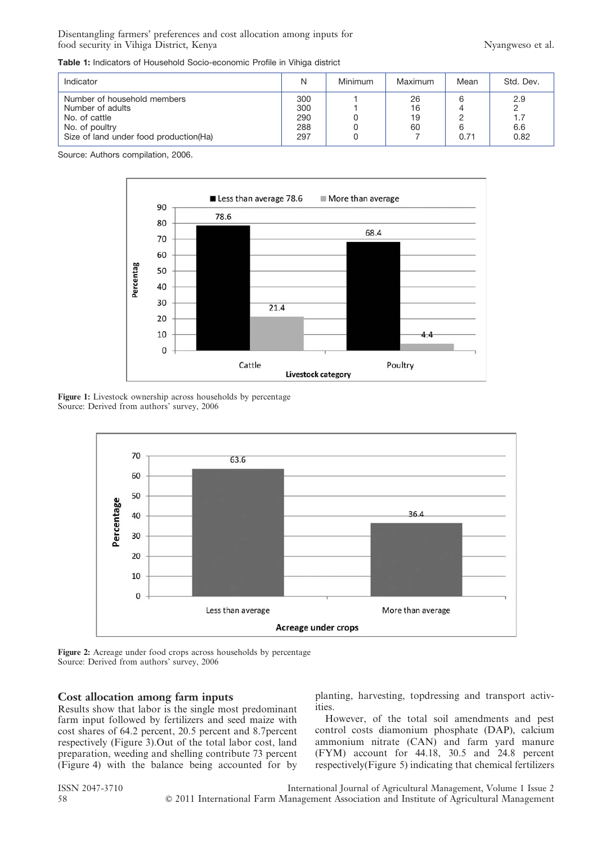Disentangling farmers' preferences and cost allocation among inputs for food security in Vihiga District, Kenya Nyangweso et al.

Table 1: Indicators of Household Socio-economic Profile in Vihiga district

| Indicator                                                                                                                     |                                 | Minimum | Maximum              | Mean           | Std. Dev.                 |
|-------------------------------------------------------------------------------------------------------------------------------|---------------------------------|---------|----------------------|----------------|---------------------------|
| Number of household members<br>Number of adults<br>No. of cattle<br>No. of poultry<br>Size of land under food production (Ha) | 300<br>300<br>290<br>288<br>297 |         | 26<br>16<br>19<br>60 | 6<br>6<br>0.71 | 2.9<br>1.7<br>6.6<br>0.82 |

Source: Authors compilation, 2006.



Figure 1: Livestock ownership across households by percentage Source: Derived from authors' survey, 2006



Figure 2: Acreage under food crops across households by percentage Source: Derived from authors' survey, 2006

#### Cost allocation among farm inputs

Results show that labor is the single most predominant farm input followed by fertilizers and seed maize with cost shares of 64.2 percent, 20.5 percent and 8.7percent respectively (Figure 3).Out of the total labor cost, land preparation, weeding and shelling contribute 73 percent (Figure 4) with the balance being accounted for by planting, harvesting, topdressing and transport activities.

However, of the total soil amendments and pest control costs diamonium phosphate (DAP), calcium ammonium nitrate (CAN) and farm yard manure (FYM) account for 44.18, 30.5 and 24.8 percent respectively(Figure 5) indicating that chemical fertilizers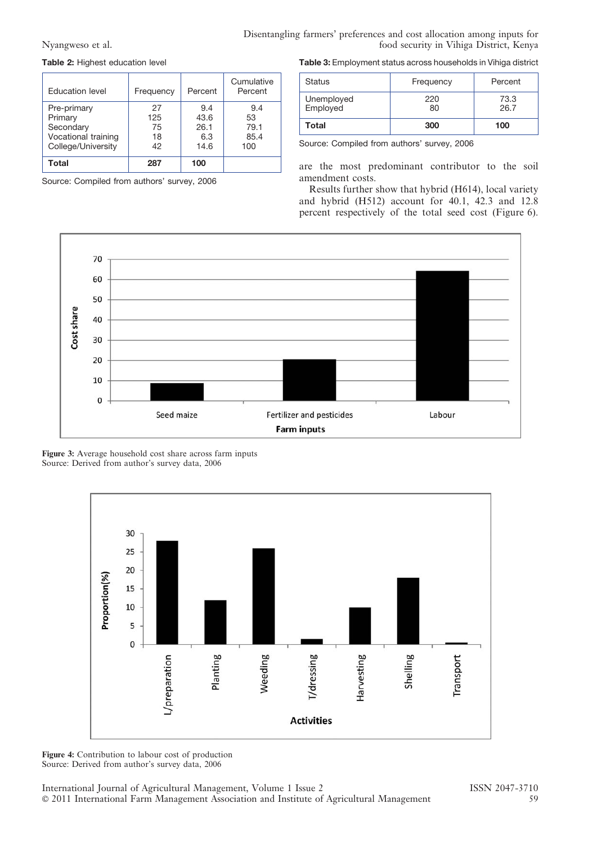Nyangweso et al.

| Disentangling farmers' preferences and cost allocation among inputs for |                                         |
|-------------------------------------------------------------------------|-----------------------------------------|
|                                                                         | food security in Vihiga District, Kenya |

Table 2: Highest education level

| Education level     | Frequency | Percent | Cumulative<br>Percent |
|---------------------|-----------|---------|-----------------------|
| Pre-primary         | 27        | 9.4     | 9.4                   |
| Primary             | 125       | 43.6    | 53                    |
| Secondary           | 75        | 26.1    | 79.1                  |
| Vocational training | 18        | 6.3     | 85.4                  |
| College/University  | 42        | 14.6    | 100                   |
| Total               | 287       | 100     |                       |

Source: Compiled from authors' survey, 2006

Table 3: Employment status across households in Vihiga district

| <b>Status</b>          | Frequency | Percent      |
|------------------------|-----------|--------------|
| Unemployed<br>Employed | 220<br>80 | 73.3<br>26.7 |
| Total                  | 300       | 100          |

Source: Compiled from authors' survey, 2006

are the most predominant contributor to the soil amendment costs.

Results further show that hybrid (H614), local variety and hybrid (H512) account for 40.1, 42.3 and 12.8 percent respectively of the total seed cost (Figure 6).



Figure 3: Average household cost share across farm inputs Source: Derived from author's survey data, 2006



Figure 4: Contribution to labour cost of production Source: Derived from author's survey data, 2006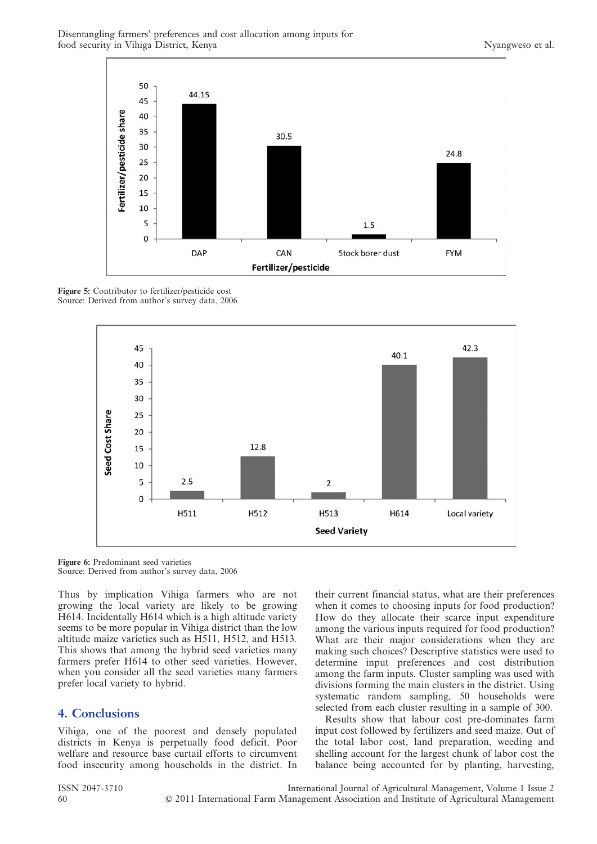

Figure 5: Contributor to fertilizer/pesticide cost Source: Derived from author's survey data, 2006



Figure 6: Predominant seed varieties Source: Derived from author's survey data, 2006

Thus by implication Vihiga farmers who are not growing the local variety are likely to be growing H614. Incidentally H614 which is a high altitude variety seems to be more popular in Vihiga district than the low altitude maize varieties such as H511, H512, and H513. This shows that among the hybrid seed varieties many farmers prefer H614 to other seed varieties. However, when you consider all the seed varieties many farmers prefer local variety to hybrid.

## 4. Conclusions

Vihiga, one of the poorest and densely populated districts in Kenya is perpetually food deficit. Poor welfare and resource base curtail efforts to circumvent food insecurity among households in the district. In their current financial status, what are their preferences when it comes to choosing inputs for food production? How do they allocate their scarce input expenditure among the various inputs required for food production? What are their major considerations when they are making such choices? Descriptive statistics were used to determine input preferences and cost distribution among the farm inputs. Cluster sampling was used with divisions forming the main clusters in the district. Using systematic random sampling, 50 households were selected from each cluster resulting in a sample of 300.

Results show that labour cost pre-dominates farm input cost followed by fertilizers and seed maize. Out of the total labor cost, land preparation, weeding and shelling account for the largest chunk of labor cost the balance being accounted for by planting, harvesting,